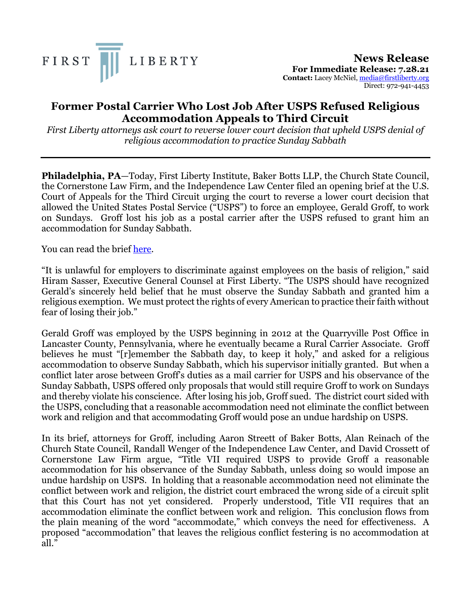

**News Release For Immediate Release: 7.28.21 Contact:** Lacey McNiel, media@firstliberty.org Direct: 972-941-4453

## **Former Postal Carrier Who Lost Job After USPS Refused Religious Accommodation Appeals to Third Circuit**

*First Liberty attorneys ask court to reverse lower court decision that upheld USPS denial of religious accommodation to practice Sunday Sabbath*

**Philadelphia, PA**—Today, First Liberty Institute, Baker Botts LLP, the Church State Council, the Cornerstone Law Firm, and the Independence Law Center filed an opening brief at the U.S. Court of Appeals for the Third Circuit urging the court to reverse a lower court decision that allowed the United States Postal Service ("USPS") to force an employee, Gerald Groff, to work on Sundays. Groff lost his job as a postal carrier after the USPS refused to grant him an accommodation for Sunday Sabbath.

You can read the brief here.

"It is unlawful for employers to discriminate against employees on the basis of religion," said Hiram Sasser, Executive General Counsel at First Liberty. "The USPS should have recognized Gerald's sincerely held belief that he must observe the Sunday Sabbath and granted him a religious exemption. We must protect the rights of every American to practice their faith without fear of losing their job."

Gerald Groff was employed by the USPS beginning in 2012 at the Quarryville Post Office in Lancaster County, Pennsylvania, where he eventually became a Rural Carrier Associate. Groff believes he must "[r]emember the Sabbath day, to keep it holy," and asked for a religious accommodation to observe Sunday Sabbath, which his supervisor initially granted. But when a conflict later arose between Groff's duties as a mail carrier for USPS and his observance of the Sunday Sabbath, USPS offered only proposals that would still require Groff to work on Sundays and thereby violate his conscience. After losing his job, Groff sued. The district court sided with the USPS, concluding that a reasonable accommodation need not eliminate the conflict between work and religion and that accommodating Groff would pose an undue hardship on USPS.

In its brief, attorneys for Groff, including Aaron Streett of Baker Botts, Alan Reinach of the Church State Council, Randall Wenger of the Independence Law Center, and David Crossett of Cornerstone Law Firm argue, "Title VII required USPS to provide Groff a reasonable accommodation for his observance of the Sunday Sabbath, unless doing so would impose an undue hardship on USPS. In holding that a reasonable accommodation need not eliminate the conflict between work and religion, the district court embraced the wrong side of a circuit split that this Court has not yet considered. Properly understood, Title VII requires that an accommodation eliminate the conflict between work and religion. This conclusion flows from the plain meaning of the word "accommodate," which conveys the need for effectiveness. A proposed "accommodation" that leaves the religious conflict festering is no accommodation at all."